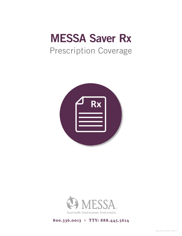# MESSA Saver Rx Prescription Coverage





### **800.336.0013 • TTY: 888.445.5614**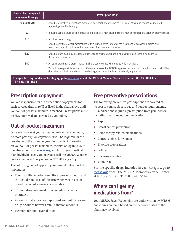| <b>Prescription copayment</b><br>for one-month supply                                                                                  | <b>Prescription Drug</b>                                                                                                                                                                                                                                                                                           |
|----------------------------------------------------------------------------------------------------------------------------------------|--------------------------------------------------------------------------------------------------------------------------------------------------------------------------------------------------------------------------------------------------------------------------------------------------------------------|
| No cost to you                                                                                                                         | Specific preventive medications mandated by federal law are covered 100 percent with no deductible required.<br>$\bullet$<br>Age and gender limits apply.                                                                                                                                                          |
| \$2                                                                                                                                    | Specific generic drugs used to treat asthma, diabetes, high blood pressure, high cholesterol and coronary artery disease.<br>$\bullet$                                                                                                                                                                             |
| \$10                                                                                                                                   | All other generic drugs<br>$\bullet$<br>• Specific over-the-counter medications with a written prescription for the treatment of seasonal allergies and<br>heartburn. Cannot combine with a coupon or other manufacturer offer.                                                                                    |
| \$20                                                                                                                                   | • Specific brand-name maintenance drugs used to treat asthma and diabetes for which there is no generic or<br>therapeutic equivalent.                                                                                                                                                                              |
| \$40                                                                                                                                   | All other brand-name drugs, including single-source drugs where no generic is available<br>٠<br>• You will be responsible for the cost difference between the BCBSM approved amount and the actual retail cost of the<br>drug when you insist on a brand name but a generic is available and medically appropriate |
| For specific drugs under each category, go to messa.org or call the MESSA Member Service Center at 800.336.0013 or<br>TTY 888.445.5614 |                                                                                                                                                                                                                                                                                                                    |

## **Prescription copayment**

You are responsible for the prescription copayments for each covered drug or refill as listed in the chart above until your out-of-pocket maximum is reached. Prescriptions must be FDA-approved and covered by your plan.

# **Out-of-pocket maximum**

Once you have met your annual out-of-pocket maximum, no more prescription copayments will be required for the remainder of the calendar year. For specific information on your out-of-pocket maximum, register or log in to your member account on **messa.org** and link to your medical plan highlights page. You may also call the MESSA Member Service Center at 800.336.0013 or TTY 888.445.5614.

The following do not apply to your annual out-of-pocket maximum:

- The cost difference between the approved amount and the actual retail cost of the drug when you insist on a brand name but a generic is available
- Covered drugs obtained from an out-of-network pharmacy
- Amounts that exceed our approved amount for covered drugs or out-of-network retail sanction amounts
- Payment for non-covered drugs

# **Free preventive prescriptions**

The following preventive prescriptions are covered at no cost to you, subject to age and gender requirements. All medications require a prescription from your doctor, including over-the-counter medications.

- Aspirin
- Breast cancer prevention
- Colonoscopy-related medications
- Contraceptives for women
- Fluoride preparations
- Folic acid
- Smoking cessation
- Vitamin D

For the specific drugs included in each category, go to **messa.org** or call the MESSA Member Service Center at 800.336.0013 or TTY 888.445.5614.

# **Where can I get my medications from?**

Your MESSA Saver Rx benefits are underwritten by BCBSM and claims are paid based on the network status of the pharmacy involved.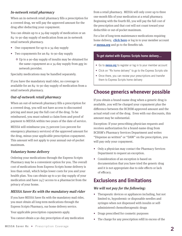#### *In-network retail pharmacy*

When an in-network retail pharmacy fills a prescription for a covered drug, we will pay the approved amount for the drug after deducting your copayment.

You can obtain up to a 34-day supply of medication or an 84- to 90-day supply of medication from an in-network retail network pharmacy.

- One copayment for up to a 34-day supply
- Two copayments for an 84- to 90-day supply
	- Up to a 90-day supply of insulin may be obtained for the same copayment as a 34-day supply from any in network provider.

Specialty medications may be handled separately.

If you have the mandatory mail rider, no coverage is available for an 84- to 90-day supply of medication from a retail network pharmacy.

#### *Out-of-network retail pharmacy*

When an out-of-network pharmacy fills a prescription for a covered drug, you will not have access to discounted pricing and must pay the full cost of the drug. To be reimbursed, you must submit a claim form and proof of payment to MESSA within two years of the date of service.

MESSA will reimburse you 75 percent (100 percent for emergency pharmacy services) of the approved amount for the drug, minus your applicable prescription copayment. This amount will not apply to your annual out-of-pocket maximum.

#### *Voluntary home delivery*

Ordering your medications through the Express Scripts Pharmacy may be a convenient option for you. The overall cost of medications from Express Scripts home delivery is less than retail, which helps lower costs for you and your health plan. You can obtain up to a 90-day supply of your medication and have 24/7 access to a pharmacist from the privacy of your home.

#### *MESSA Saver Rx with the mandatory mail rider*

If you have MESSA Saver Rx with the mandatory mail rider, you must obtain all long-term medications through the Express Scripts Pharmacy, our home delivery service.

Your applicable prescription copayments apply.

You cannot obtain a 90-day prescription of any medication

from a retail pharmacy. MESSA will only cover up to three one-month fills of your medication at a retail pharmacy. Beginning with the fourth fill, you will pay the full cost of the prescription and that cost will not count toward your deductible or out-of-pocket maximum.

For a list of long-term maintenance medications requiring home delivery, **click here** or log in to your member account at **messa.org** and go to the Benefits tab.

#### To get started with Express Scripts home delivery…

- Go to **messa.org** to register or log in to your member account
- Click on "Rx home delivery" to go to the Express Scripts site
- Once there, you can review your prescriptions and transfer them to Express Scripts home delivery

## **Choose generics whenever possible**

If you obtain a brand-name drug when a generic drug is available, you will be charged your copayment plus the difference between the BCBSM-approved amount and the actual retail cost of the drug. Even with our discounts, this amount may be substantial.

Exception: If your prescribing physician requests and receives authorization for a brand-name drug from BCBSM's Pharmacy Services Department and writes "Dispense as written" or "DAW" on the prescription, you will pay only your copayment.

- Only a physician may contact the Pharmacy Services Department to request an exception.
- Consideration of an exception is based on documentation that you have tried the generic drug and it is not appropriate due to side effects or lack of efficacy.

## **Exclusions and limitations**

#### *We will not pay for the following:*

- Therapeutic devices or appliances including, but not limited to, hypodermic or disposable needles and syringes when not dispensed with insulin or selfadministered chemotherapeutic drugs
- Drugs prescribed for cosmetic purposes
- The charge for any prescription refill in excess of the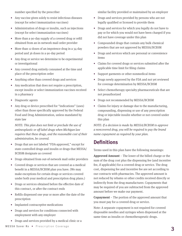number specified by the prescriber

- Any vaccine given solely to resist infectious diseases (except for select immunization vaccines)
- Administration of drugs or insulin, such as injections (except for select immunization vaccines)
- More than a 90-day supply of a covered drug or refill obtained from an in-network mail order provider
- More than 12 doses of an impotence drug in a 34-day period and 36 doses in a 90-day period
- Any drug or service we determine to be experimental or investigational
- Any covered drug entirely consumed at the time and place of the prescription order
- Anything other than covered drugs and services
- Any medication that does not require a prescription, except insulin or select immunization vaccines received in a pharmacy
- Diagnostic agents
- Any drug or device prescribed for "indications" (uses) other than those specifically approved by the Federal Food and Drug Administration, unless mandated by state law

*NOTE: This plan does not limit or preclude the use of antineoplastic or off-label drugs when Michigan law requires that these drugs, and the reasonable cost of their administration, be covered.*

- Drugs that are not labeled "FDA-approved," except for state-controlled drugs and insulin or drugs that MESSA/ BCBSM designate as covered
- Drugs obtained from out-of-network mail order providers
- Covered drugs or services that are covered as a medical benefit in a MESSA/BCBSM plan you have. (We may make exceptions for certain drugs or services covered under both your medical and prescription drug plans.)
- Drugs or services obtained before the effective date of this contract, or after the contract ends
- Refills dispensed one year or more after the date of the prescription
- Implanted contraceptive medications
- Drugs and services for conditions connected with employment with any employer
- Drugs and services provided by a medical clinic or a

similar facility provided or maintained by an employer

- Drugs and services provided by persons who are not legally qualified or licensed to provide them
- Drugs and services for which you legally do not have to pay or for which you would not have been charged if you did not have coverage under this plan
- Compounded drugs that contain any bulk chemical powders that are not approved by MESSA/BCBSM
- Drugs and services which are personal or convenience items
- Claims for covered drugs or services submitted after the applicable time limit for filing claims
- Support garments or other nonmedical items
- Drugs newly approved by the FDA and not yet reviewed for coverage determination by MESSA/BCBSM
- Select chemotherapy specialty pharmaceuticals that are not preauthorized
- Drugs not recommended by MESSA/BCBSM
- Claims for injury or damage due to the manufacturing, compounding, dispensing or use of any prescription drug or injectable insulin whether or not covered under this plan

*NOTE: If a decision is made by MESSA/BCBSM to approve a noncovered drug, you will be required to pay the brand name copayment as required by your plan.*

## **Definitions**

Terms used in this plan have the following meanings:

**Approved Amount** – The lower of the billed charge or the sum of the drug cost plus the dispensing fee (and incentive fee, if applicable) for a covered drug or service. The drug cost, dispensing fee and incentive fee are set according to our contracts with pharmacies. The approved amount is not reduced by rebates or other credits received directly or indirectly from the drug manufacturer. Copayments that may be required of you are subtracted from the approved amount before we make our payment.

**Copayment** – The portion of the approved amount that you must pay for a covered drug or service.

Note: A separate copayment is not required for covered disposable needles and syringes when dispensed at the same time as insulin or chemotherapeutic drugs.